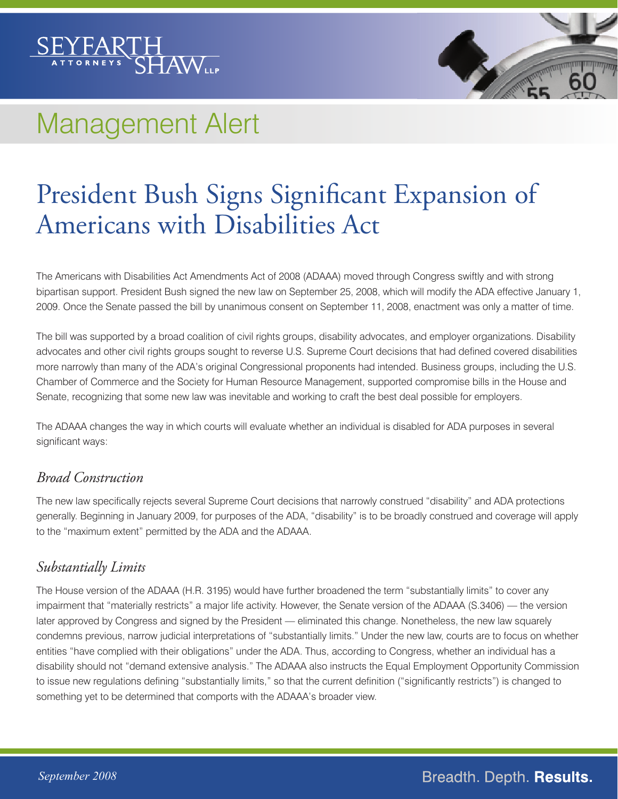

# Management Alert

# President Bush Signs Significant Expansion of Americans with Disabilities Act

The Americans with Disabilities Act Amendments Act of 2008 (ADAAA) moved through Congress swiftly and with strong bipartisan support. President Bush signed the new law on September 25, 2008, which will modify the ADA effective January 1, 2009. Once the Senate passed the bill by unanimous consent on September 11, 2008, enactment was only a matter of time.

The bill was supported by a broad coalition of civil rights groups, disability advocates, and employer organizations. Disability advocates and other civil rights groups sought to reverse U.S. Supreme Court decisions that had defined covered disabilities more narrowly than many of the ADA's original Congressional proponents had intended. Business groups, including the U.S. Chamber of Commerce and the Society for Human Resource Management, supported compromise bills in the House and Senate, recognizing that some new law was inevitable and working to craft the best deal possible for employers.

The ADAAA changes the way in which courts will evaluate whether an individual is disabled for ADA purposes in several significant ways:

#### *Broad Construction*

The new law specifically rejects several Supreme Court decisions that narrowly construed "disability" and ADA protections generally. Beginning in January 2009, for purposes of the ADA, "disability" is to be broadly construed and coverage will apply to the "maximum extent" permitted by the ADA and the ADAAA.

#### *Substantially Limits*

The House version of the ADAAA (H.R. 3195) would have further broadened the term "substantially limits" to cover any impairment that "materially restricts" a major life activity. However, the Senate version of the ADAAA (S.3406) — the version later approved by Congress and signed by the President — eliminated this change. Nonetheless, the new law squarely condemns previous, narrow judicial interpretations of "substantially limits." Under the new law, courts are to focus on whether entities "have complied with their obligations" under the ADA. Thus, according to Congress, whether an individual has a disability should not "demand extensive analysis." The ADAAA also instructs the Equal Employment Opportunity Commission to issue new regulations defining "substantially limits," so that the current definition ("significantly restricts") is changed to something yet to be determined that comports with the ADAAA's broader view.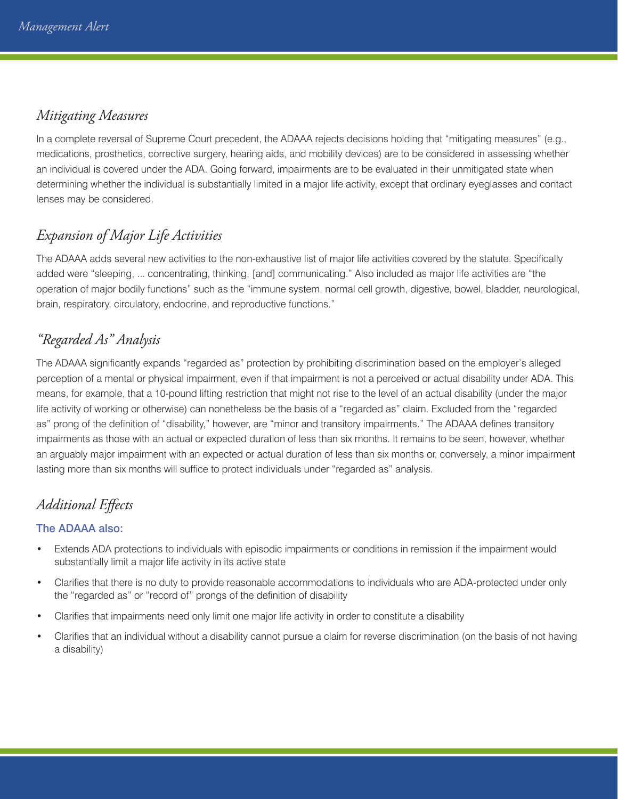#### *Mitigating Measures*

In a complete reversal of Supreme Court precedent, the ADAAA rejects decisions holding that "mitigating measures" (e.g., medications, prosthetics, corrective surgery, hearing aids, and mobility devices) are to be considered in assessing whether an individual is covered under the ADA. Going forward, impairments are to be evaluated in their unmitigated state when determining whether the individual is substantially limited in a major life activity, except that ordinary eyeglasses and contact lenses may be considered.

## *Expansion of Major Life Activities*

The ADAAA adds several new activities to the non-exhaustive list of major life activities covered by the statute. Specifically added were "sleeping, ... concentrating, thinking, [and] communicating." Also included as major life activities are "the operation of major bodily functions" such as the "immune system, normal cell growth, digestive, bowel, bladder, neurological, brain, respiratory, circulatory, endocrine, and reproductive functions."

## *"Regarded As" Analysis*

The ADAAA significantly expands "regarded as" protection by prohibiting discrimination based on the employer's alleged perception of a mental or physical impairment, even if that impairment is not a perceived or actual disability under ADA. This means, for example, that a 10-pound lifting restriction that might not rise to the level of an actual disability (under the major life activity of working or otherwise) can nonetheless be the basis of a "regarded as" claim. Excluded from the "regarded as" prong of the definition of "disability," however, are "minor and transitory impairments." The ADAAA defines transitory impairments as those with an actual or expected duration of less than six months. It remains to be seen, however, whether an arguably major impairment with an expected or actual duration of less than six months or, conversely, a minor impairment lasting more than six months will suffice to protect individuals under "regarded as" analysis.

# *Additional Effects*

#### The ADAAA also:

- Extends ADA protections to individuals with episodic impairments or conditions in remission if the impairment would substantially limit a major life activity in its active state
- Clarifies that there is no duty to provide reasonable accommodations to individuals who are ADA-protected under only the "regarded as" or "record of" prongs of the definition of disability
- Clarifies that impairments need only limit one major life activity in order to constitute a disability
- Clarifies that an individual without a disability cannot pursue a claim for reverse discrimination (on the basis of not having a disability)